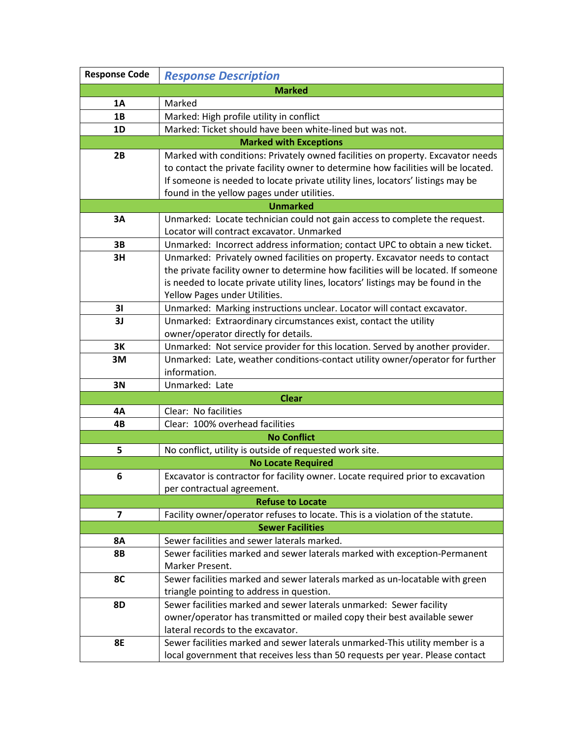| <b>Response Code</b>          | <b>Response Description</b>                                                                   |  |
|-------------------------------|-----------------------------------------------------------------------------------------------|--|
|                               | <b>Marked</b>                                                                                 |  |
| 1A                            | Marked                                                                                        |  |
| 1B                            | Marked: High profile utility in conflict                                                      |  |
| 1D                            | Marked: Ticket should have been white-lined but was not.                                      |  |
| <b>Marked with Exceptions</b> |                                                                                               |  |
| 2B                            | Marked with conditions: Privately owned facilities on property. Excavator needs               |  |
|                               | to contact the private facility owner to determine how facilities will be located.            |  |
|                               | If someone is needed to locate private utility lines, locators' listings may be               |  |
|                               | found in the yellow pages under utilities.                                                    |  |
| <b>Unmarked</b>               |                                                                                               |  |
| 3A                            | Unmarked: Locate technician could not gain access to complete the request.                    |  |
|                               | Locator will contract excavator. Unmarked                                                     |  |
| 3B                            | Unmarked: Incorrect address information; contact UPC to obtain a new ticket.                  |  |
| 3H                            | Unmarked: Privately owned facilities on property. Excavator needs to contact                  |  |
|                               | the private facility owner to determine how facilities will be located. If someone            |  |
|                               | is needed to locate private utility lines, locators' listings may be found in the             |  |
|                               | Yellow Pages under Utilities.                                                                 |  |
| 31                            | Unmarked: Marking instructions unclear. Locator will contact excavator.                       |  |
| 3J                            | Unmarked: Extraordinary circumstances exist, contact the utility                              |  |
| 3K                            | owner/operator directly for details.                                                          |  |
|                               | Unmarked: Not service provider for this location. Served by another provider.                 |  |
| 3M                            | Unmarked: Late, weather conditions-contact utility owner/operator for further<br>information. |  |
| 3N                            | Unmarked: Late                                                                                |  |
|                               | <b>Clear</b>                                                                                  |  |
| 4Α                            | Clear: No facilities                                                                          |  |
| 4B                            | Clear: 100% overhead facilities                                                               |  |
|                               | <b>No Conflict</b>                                                                            |  |
| 5                             | No conflict, utility is outside of requested work site.                                       |  |
|                               | <b>No Locate Required</b>                                                                     |  |
| 6                             | Excavator is contractor for facility owner. Locate required prior to excavation               |  |
|                               | per contractual agreement.                                                                    |  |
|                               | <b>Refuse to Locate</b>                                                                       |  |
| $\overline{ }$                | Facility owner/operator refuses to locate. This is a violation of the statute.                |  |
| <b>Sewer Facilities</b>       |                                                                                               |  |
| <b>8A</b>                     | Sewer facilities and sewer laterals marked.                                                   |  |
| <b>8B</b>                     | Sewer facilities marked and sewer laterals marked with exception-Permanent                    |  |
|                               | Marker Present.                                                                               |  |
| 8C                            | Sewer facilities marked and sewer laterals marked as un-locatable with green                  |  |
|                               | triangle pointing to address in question.                                                     |  |
| <b>8D</b>                     | Sewer facilities marked and sewer laterals unmarked: Sewer facility                           |  |
|                               | owner/operator has transmitted or mailed copy their best available sewer                      |  |
|                               | lateral records to the excavator.                                                             |  |
| <b>8E</b>                     | Sewer facilities marked and sewer laterals unmarked-This utility member is a                  |  |
|                               | local government that receives less than 50 requests per year. Please contact                 |  |